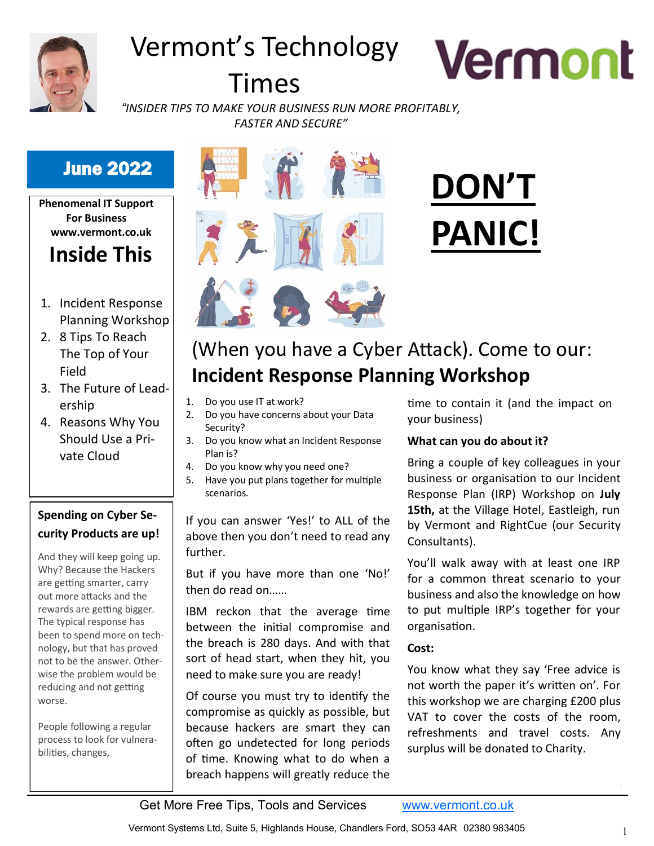

# Vermont's Technology

# Times



*"INSIDER TIPS TO MAKE YOUR BUSINESS RUN MORE PROFITABLY, FASTER AND SECURE"*

#### June 2022

**Phenomenal IT Support For Business www.vermont.co.uk**

## **Inside This**

- 1. Incident Response Planning Workshop
- 2. 8 Tips To Reach The Top of Your Field
- 3. The Future of Leadership
- 4. Reasons Why You Should Use a Private Cloud

#### **Spending on Cyber Security Products are up!**

And they will keep going up. Why? Because the Hackers are getting smarter, carry out more attacks and the rewards are getting bigger. The typical response has been to spend more on technology, but that has proved not to be the answer. Otherwise the problem would be reducing and not getting worse.

People following a regular process to look for vulnerabilities, changes,



# **DON'T PANIC!**

# (When you have a Cyber Attack). Come to our: **Incident Response Planning Workshop**

- 1. Do you use IT at work?
- 2. Do you have concerns about your Data Security?
- 3. Do you know what an Incident Response Plan is?
- 4. Do you know why you need one?
- 5. Have you put plans together for multiple scenarios.

If you can answer 'Yes!' to ALL of the above then you don't need to read any further.

But if you have more than one 'No!' then do read on……

IBM reckon that the average time between the initial compromise and the breach is 280 days. And with that sort of head start, when they hit, you need to make sure you are ready!

Of course you must try to identify the compromise as quickly as possible, but because hackers are smart they can often go undetected for long periods of time. Knowing what to do when a breach happens will greatly reduce the

time to contain it (and the impact on your business)

#### **What can you do about it?**

Bring a couple of key colleagues in your business or organisation to our Incident Response Plan (IRP) Workshop on **July 15th,** at the Village Hotel, Eastleigh, run by Vermont and RightCue (our Security Consultants).

You'll walk away with at least one IRP for a common threat scenario to your business and also the knowledge on how to put multiple IRP's together for your organisation.

#### **Cost:**

You know what they say 'Free advice is not worth the paper it's written on'. For this workshop we are charging £200 plus VAT to cover the costs of the room, refreshments and travel costs. Any surplus will be donated to Charity.

Get More Free Tips, Tools and Services [www.vermont.co.uk](http://www.vermont.co.uk)

*Continued on pg.2*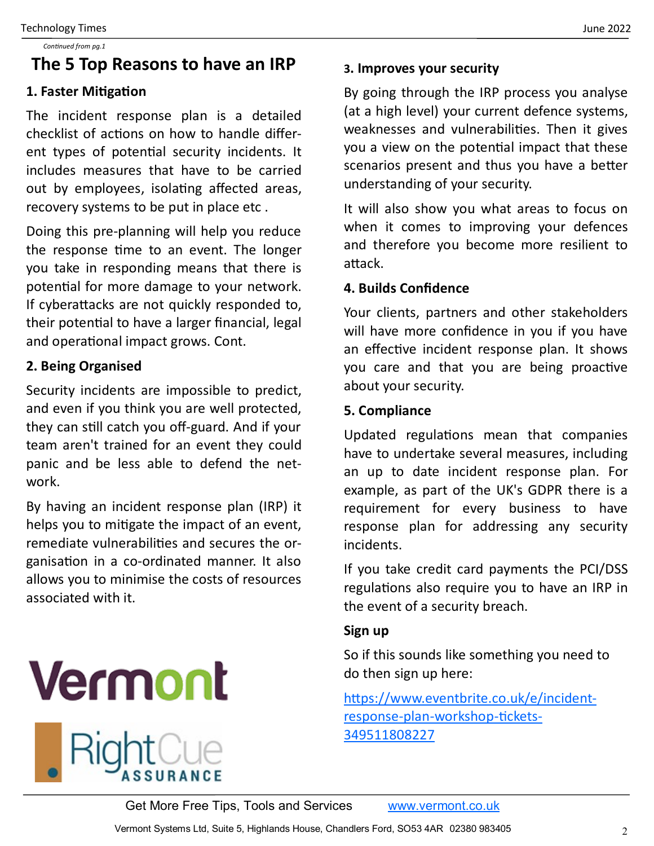#### **The 5 Top Reasons to have an IRP**

#### **1. Faster Mitigation**

The incident response plan is a detailed checklist of actions on how to handle different types of potential security incidents. It includes measures that have to be carried out by employees, isolating affected areas, recovery systems to be put in place etc .

Doing this pre-planning will help you reduce the response time to an event. The longer you take in responding means that there is potential for more damage to your network. If cyberattacks are not quickly responded to, their potential to have a larger financial, legal and operational impact grows. Cont.

#### **2. Being Organised**

Security incidents are impossible to predict, and even if you think you are well protected, they can still catch you off-guard. And if your team aren't trained for an event they could panic and be less able to defend the network.

By having an incident response plan (IRP) it helps you to mitigate the impact of an event, remediate vulnerabilities and secures the organisation in a co-ordinated manner. It also allows you to minimise the costs of resources associated with it.

# **Vermont**



#### **3. Improves your security**

By going through the IRP process you analyse (at a high level) your current defence systems, weaknesses and vulnerabilities. Then it gives you a view on the potential impact that these scenarios present and thus you have a better understanding of your security.

It will also show you what areas to focus on when it comes to improving your defences and therefore you become more resilient to attack.

#### **4. Builds Confidence**

Your clients, partners and other stakeholders will have more confidence in you if you have an effective incident response plan. It shows you care and that you are being proactive about your security.

#### **5. Compliance**

Updated regulations mean that companies have to undertake several measures, including an up to date incident response plan. For example, as part of the UK's GDPR there is a requirement for every business to have response plan for addressing any security incidents.

If you take credit card payments the PCI/DSS regulations also require you to have an IRP in the event of a security breach.

#### **Sign up**

So if this sounds like something you need to do then sign up here:

[https://www.eventbrite.co.uk/e/incident](https://www.eventbrite.co.uk/e/incident-response-plan-workshop-tickets-349511808227)response-plan-[workshop](https://www.eventbrite.co.uk/e/incident-response-plan-workshop-tickets-349511808227)-tickets-[349511808227](https://www.eventbrite.co.uk/e/incident-response-plan-workshop-tickets-349511808227)

Get More Free Tips, Tools and Services [www.vermont.co.uk](http://www.vermont.co.uk)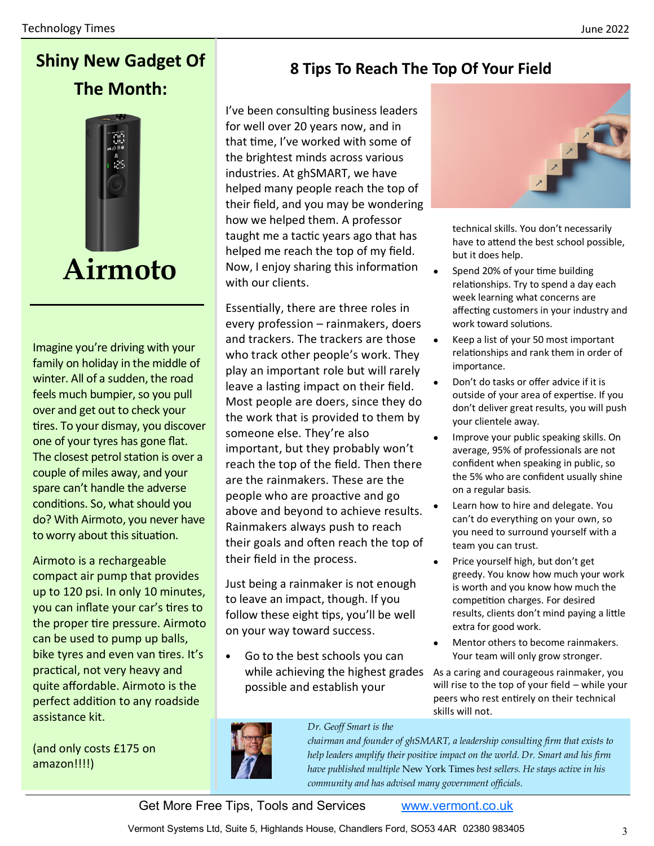### **Shiny New Gadget Of The Month:**



Imagine you're driving with your family on holiday in the middle of winter. All of a sudden, the road feels much bumpier, so you pull over and get out to check your tires. To your dismay, you discover one of your tyres has gone flat. The closest petrol station is over a couple of miles away, and your spare can't handle the adverse conditions. So, what should you do? With Airmoto, you never have to worry about this situation.

Airmoto is a rechargeable compact air pump that provides up to 120 psi. In only 10 minutes, you can inflate your car's tires to the proper tire pressure. Airmoto can be used to pump up balls, bike tyres and even van tires. It's practical, not very heavy and quite affordable. Airmoto is the perfect addition to any roadside assistance kit.

(and only costs £175 on amazon!!!!)

#### **8 Tips To Reach The Top Of Your Field**

I've been consulting business leaders for well over 20 years now, and in that time, I've worked with some of the brightest minds across various industries. At ghSMART, we have helped many people reach the top of their field, and you may be wondering how we helped them. A professor taught me a tactic years ago that has helped me reach the top of my field. Now, I enjoy sharing this information with our clients.

Essentially, there are three roles in every profession – rainmakers, doers and trackers. The trackers are those who track other people's work. They play an important role but will rarely leave a lasting impact on their field. Most people are doers, since they do the work that is provided to them by someone else. They're also important, but they probably won't reach the top of the field. Then there are the rainmakers. These are the people who are proactive and go above and beyond to achieve results. Rainmakers always push to reach their goals and often reach the top of their field in the process.

Just being a rainmaker is not enough to leave an impact, though. If you follow these eight tips, you'll be well on your way toward success.

• Go to the best schools you can while achieving the highest grades possible and establish your



technical skills. You don't necessarily have to attend the best school possible, but it does help.

- Spend 20% of your time building relationships. Try to spend a day each week learning what concerns are affecting customers in your industry and work toward solutions.
- Keep a list of your 50 most important relationships and rank them in order of importance.
- Don't do tasks or offer advice if it is outside of your area of expertise. If you don't deliver great results, you will push your clientele away.
- Improve your public speaking skills. On average, 95% of professionals are not confident when speaking in public, so the 5% who are confident usually shine on a regular basis.
- Learn how to hire and delegate. You can't do everything on your own, so you need to surround yourself with a team you can trust.
- Price yourself high, but don't get greedy. You know how much your work is worth and you know how much the competition charges. For desired results, clients don't mind paying a little extra for good work.
- Mentor others to become rainmakers. Your team will only grow stronger.

As a caring and courageous rainmaker, you will rise to the top of your field – while your peers who rest entirely on their technical skills will not.



#### *Dr. Geoff Smart is the*

*chairman and founder of ghSMART, a leadership consulting firm that exists to help leaders amplify their positive impact on the world. Dr. Smart and his firm have published multiple* New York Times *best sellers. He stays active in his community and has advised many government officials.* 

Get More Free Tips, Tools and Services [www.vermont.co.uk](http://www.vermont.co.uk)